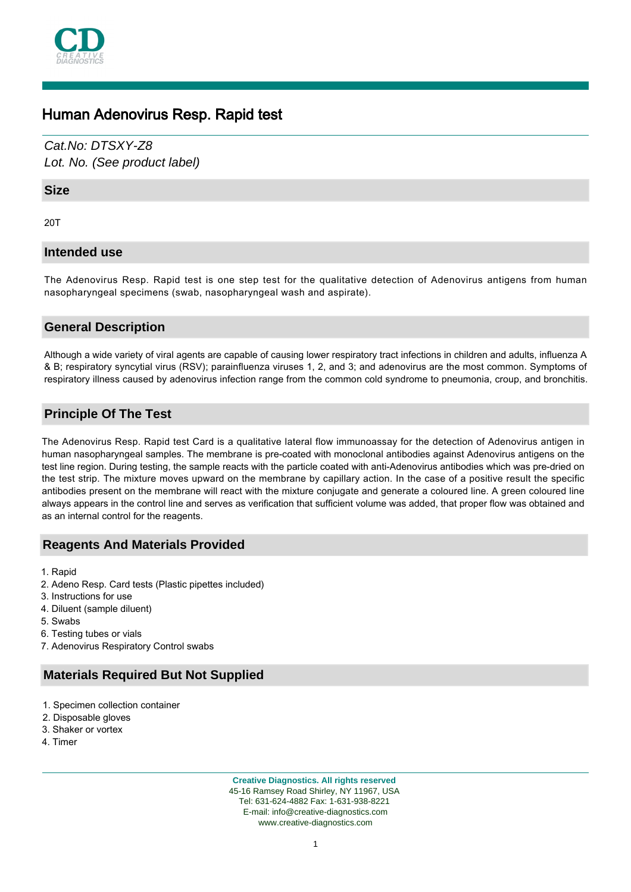

# Human Adenovirus Resp. Rapid test

Cat.No: DTSXY-Z8 Lot. No. (See product label)

### **Size**

20T

## **Intended use**

The Adenovirus Resp. Rapid test is one step test for the qualitative detection of Adenovirus antigens from human nasopharyngeal specimens (swab, nasopharyngeal wash and aspirate).

## **General Description**

Although a wide variety of viral agents are capable of causing lower respiratory tract infections in children and adults, influenza A & B; respiratory syncytial virus (RSV); parainfluenza viruses 1, 2, and 3; and adenovirus are the most common. Symptoms of respiratory illness caused by adenovirus infection range from the common cold syndrome to pneumonia, croup, and bronchitis.

## **Principle Of The Test**

The Adenovirus Resp. Rapid test Card is a qualitative lateral flow immunoassay for the detection of Adenovirus antigen in human nasopharyngeal samples. The membrane is pre-coated with monoclonal antibodies against Adenovirus antigens on the test line region. During testing, the sample reacts with the particle coated with anti-Adenovirus antibodies which was pre-dried on the test strip. The mixture moves upward on the membrane by capillary action. In the case of a positive result the specific antibodies present on the membrane will react with the mixture conjugate and generate a coloured line. A green coloured line always appears in the control line and serves as verification that sufficient volume was added, that proper flow was obtained and as an internal control for the reagents.

### **Reagents And Materials Provided**

- 1. Rapid
- 2. Adeno Resp. Card tests (Plastic pipettes included)
- 3. Instructions for use
- 4. Diluent (sample diluent)
- 5. Swabs
- 6. Testing tubes or vials
- 7. Adenovirus Respiratory Control swabs

## **Materials Required But Not Supplied**

- 1. Specimen collection container
- 2. Disposable gloves
- 3. Shaker or vortex
- 4. Timer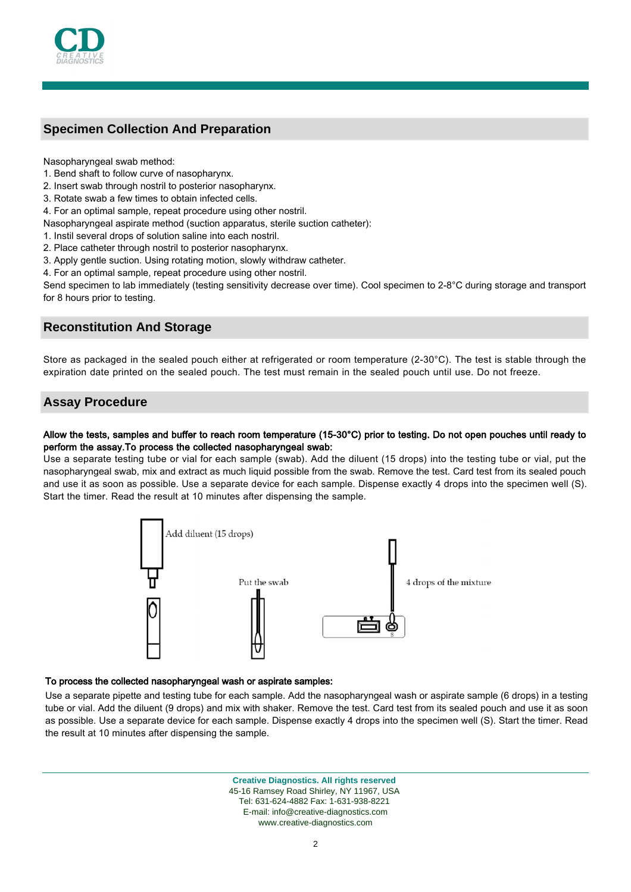

# **Specimen Collection And Preparation**

Nasopharyngeal swab method:

- 1. Bend shaft to follow curve of nasopharynx.
- 2. Insert swab through nostril to posterior nasopharynx.
- 3. Rotate swab a few times to obtain infected cells.
- 4. For an optimal sample, repeat procedure using other nostril.
- Nasopharyngeal aspirate method (suction apparatus, sterile suction catheter):
- 1. Instil several drops of solution saline into each nostril.
- 2. Place catheter through nostril to posterior nasopharynx.
- 3. Apply gentle suction. Using rotating motion, slowly withdraw catheter.
- 4. For an optimal sample, repeat procedure using other nostril.

Send specimen to lab immediately (testing sensitivity decrease over time). Cool specimen to 2-8°C during storage and transport for 8 hours prior to testing.

## **Reconstitution And Storage**

Store as packaged in the sealed pouch either at refrigerated or room temperature (2-30 $^{\circ}$ C). The test is stable through the expiration date printed on the sealed pouch. The test must remain in the sealed pouch until use. Do not freeze.

## **Assay Procedure**

#### Allow the tests, samples and buffer to reach room temperature (15-30°C) prior to testing. Do not open pouches until ready to perform the assay.To process the collected nasopharyngeal swab:

Use a separate testing tube or vial for each sample (swab). Add the diluent (15 drops) into the testing tube or vial, put the nasopharyngeal swab, mix and extract as much liquid possible from the swab. Remove the test. Card test from its sealed pouch and use it as soon as possible. Use a separate device for each sample. Dispense exactly 4 drops into the specimen well (S). Start the timer. Read the result at 10 minutes after dispensing the sample.



#### To process the collected nasopharyngeal wash or aspirate samples:

Use a separate pipette and testing tube for each sample. Add the nasopharyngeal wash or aspirate sample (6 drops) in a testing tube or vial. Add the diluent (9 drops) and mix with shaker. Remove the test. Card test from its sealed pouch and use it as soon as possible. Use a separate device for each sample. Dispense exactly 4 drops into the specimen well (S). Start the timer. Read the result at 10 minutes after dispensing the sample.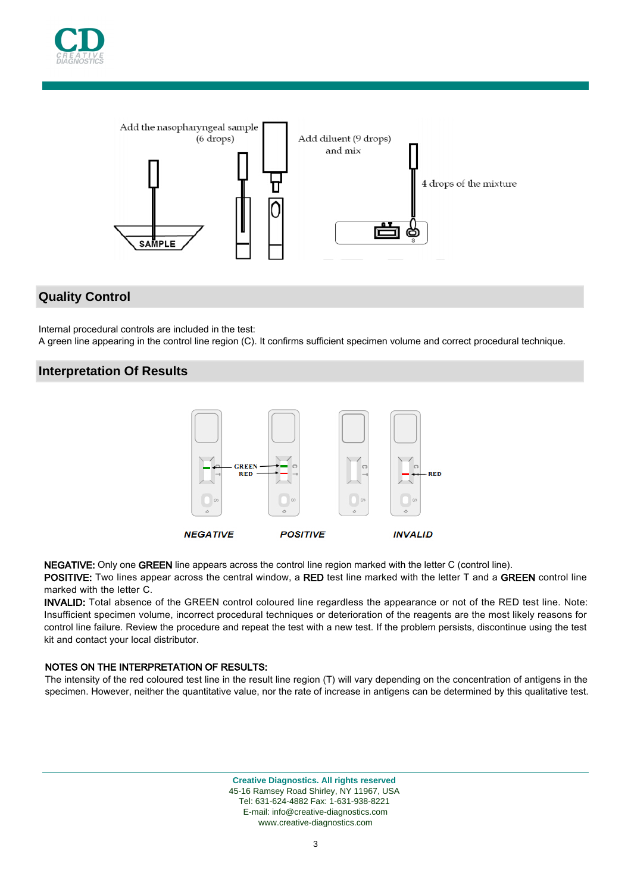



## **Quality Control**

Internal procedural controls are included in the test:

A green line appearing in the control line region (C). It confirms sufficient specimen volume and correct procedural technique.

### **Interpretation Of Results**



NEGATIVE: Only one GREEN line appears across the control line region marked with the letter C (control line).

POSITIVE: Two lines appear across the central window, a RED test line marked with the letter T and a GREEN control line marked with the letter C.

INVALID: Total absence of the GREEN control coloured line regardless the appearance or not of the RED test line. Note: Insufficient specimen volume, incorrect procedural techniques or deterioration of the reagents are the most likely reasons for control line failure. Review the procedure and repeat the test with a new test. If the problem persists, discontinue using the test kit and contact your local distributor.

#### NOTES ON THE INTERPRETATION OF RESULTS:

The intensity of the red coloured test line in the result line region (T) will vary depending on the concentration of antigens in the specimen. However, neither the quantitative value, nor the rate of increase in antigens can be determined by this qualitative test.